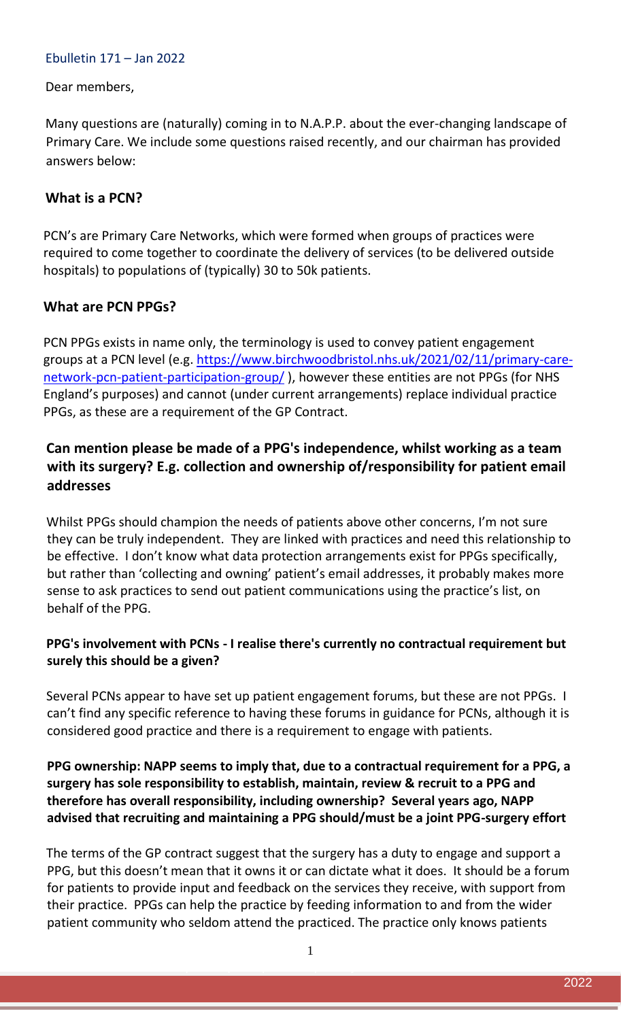#### Ebulletin 171 – Jan 2022

#### Dear members,

Many questions are (naturally) coming in to N.A.P.P. about the ever-changing landscape of Primary Care. We include some questions raised recently, and our chairman has provided answers below:

### **What is a PCN?**

PCN's are Primary Care Networks, which were formed when groups of practices were required to come together to coordinate the delivery of services (to be delivered outside hospitals) to populations of (typically) 30 to 50k patients.

### **What are PCN PPGs?**

PCN PPGs exists in name only, the terminology is used to convey patient engagement groups at a PCN level (e.g. [https://www.birchwoodbristol.nhs.uk/2021/02/11/primary-care](https://emea01.safelinks.protection.outlook.com/?url=https%3A%2F%2Fwww.birchwoodbristol.nhs.uk%2F2021%2F02%2F11%2Fprimary-care-network-pcn-patient-participation-group%2F&data=04%7C01%7C%7Cf7f0c1618d04459f7e9408d9dbfe2ca5%7C84df9e7fe9f640afb435aaaaaaaaaaaa%7C1%7C0%7C637782706987494732%7CUnknown%7CTWFpbGZsb3d8eyJWIjoiMC4wLjAwMDAiLCJQIjoiV2luMzIiLCJBTiI6Ik1haWwiLCJXVCI6Mn0%3D%7C3000&sdata=oI7ij8fZV0h8MozWYnMP0DZkg5R3cyLzPYwxdIQULGI%3D&reserved=0)[network-pcn-patient-participation-group/](https://emea01.safelinks.protection.outlook.com/?url=https%3A%2F%2Fwww.birchwoodbristol.nhs.uk%2F2021%2F02%2F11%2Fprimary-care-network-pcn-patient-participation-group%2F&data=04%7C01%7C%7Cf7f0c1618d04459f7e9408d9dbfe2ca5%7C84df9e7fe9f640afb435aaaaaaaaaaaa%7C1%7C0%7C637782706987494732%7CUnknown%7CTWFpbGZsb3d8eyJWIjoiMC4wLjAwMDAiLCJQIjoiV2luMzIiLCJBTiI6Ik1haWwiLCJXVCI6Mn0%3D%7C3000&sdata=oI7ij8fZV0h8MozWYnMP0DZkg5R3cyLzPYwxdIQULGI%3D&reserved=0)), however these entities are not PPGs (for NHS England's purposes) and cannot (under current arrangements) replace individual practice PPGs, as these are a requirement of the GP Contract.

## **Can mention please be made of a PPG's independence, whilst working as a team with its surgery? E.g. collection and ownership of/responsibility for patient email addresses**

Whilst PPGs should champion the needs of patients above other concerns, I'm not sure they can be truly independent. They are linked with practices and need this relationship to be effective. I don't know what data protection arrangements exist for PPGs specifically, but rather than 'collecting and owning' patient's email addresses, it probably makes more sense to ask practices to send out patient communications using the practice's list, on behalf of the PPG.

### **PPG's involvement with PCNs - I realise there's currently no contractual requirement but surely this should be a given?**

Several PCNs appear to have set up patient engagement forums, but these are not PPGs. I can't find any specific reference to having these forums in guidance for PCNs, although it is considered good practice and there is a requirement to engage with patients.

### **PPG ownership: NAPP seems to imply that, due to a contractual requirement for a PPG, a surgery has sole responsibility to establish, maintain, review & recruit to a PPG and therefore has overall responsibility, including ownership? Several years ago, NAPP advised that recruiting and maintaining a PPG should/must be a joint PPG-surgery effort**

The terms of the GP contract suggest that the surgery has a duty to engage and support a PPG, but this doesn't mean that it owns it or can dictate what it does. It should be a forum for patients to provide input and feedback on the services they receive, with support from their practice. PPGs can help the practice by feeding information to and from the wider patient community who seldom attend the practiced. The practice only knows patients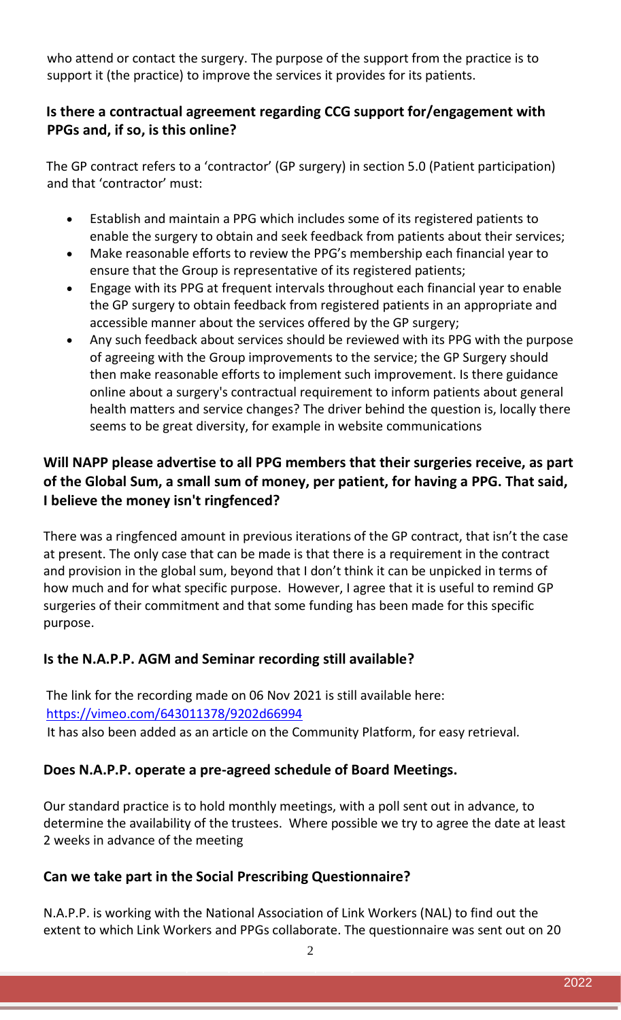who attend or contact the surgery. The purpose of the support from the practice is to support it (the practice) to improve the services it provides for its patients.

### **Is there a contractual agreement regarding CCG support for/engagement with PPGs and, if so, is this online?**

The GP contract refers to a 'contractor' (GP surgery) in section 5.0 (Patient participation) and that 'contractor' must:

- Establish and maintain a PPG which includes some of its registered patients to enable the surgery to obtain and seek feedback from patients about their services;
- Make reasonable efforts to review the PPG's membership each financial year to ensure that the Group is representative of its registered patients;
- Engage with its PPG at frequent intervals throughout each financial year to enable the GP surgery to obtain feedback from registered patients in an appropriate and accessible manner about the services offered by the GP surgery;
- Any such feedback about services should be reviewed with its PPG with the purpose of agreeing with the Group improvements to the service; the GP Surgery should then make reasonable efforts to implement such improvement. Is there guidance online about a surgery's contractual requirement to inform patients about general health matters and service changes? The driver behind the question is, locally there seems to be great diversity, for example in website communications

# **Will NAPP please advertise to all PPG members that their surgeries receive, as part of the Global Sum, a small sum of money, per patient, for having a PPG. That said, I believe the money isn't ringfenced?**

There was a ringfenced amount in previous iterations of the GP contract, that isn't the case at present. The only case that can be made is that there is a requirement in the contract and provision in the global sum, beyond that I don't think it can be unpicked in terms of how much and for what specific purpose. However, I agree that it is useful to remind GP surgeries of their commitment and that some funding has been made for this specific purpose.

## **Is the N.A.P.P. AGM and Seminar recording still available?**

The link for the recording made on 06 Nov 2021 is still available here: <https://vimeo.com/643011378/9202d66994> It has also been added as an article on the Community Platform, for easy retrieval.

## **Does N.A.P.P. operate a pre-agreed schedule of Board Meetings.**

Our standard practice is to hold monthly meetings, with a poll sent out in advance, to determine the availability of the trustees. Where possible we try to agree the date at least 2 weeks in advance of the meeting

## **Can we take part in the Social Prescribing Questionnaire?**

N.A.P.P. is working with the National Association of Link Workers (NAL) to find out the extent to which Link Workers and PPGs collaborate. The questionnaire was sent out on 20